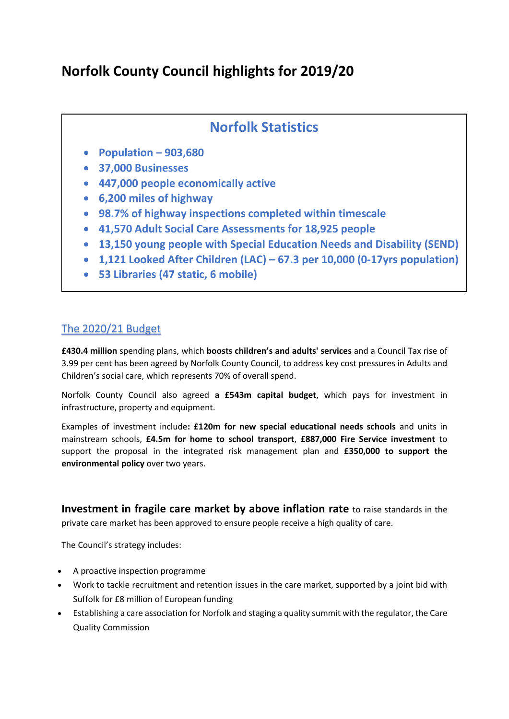## **Norfolk County Council highlights for 2019/20**

## **Norfolk Statistics**

- **Population – 903,680**
- **37,000 Businesses**
- **447,000 people economically active**
- **6,200 miles of highway**
- **98.7% of highway inspections completed within timescale**
- **41,570 Adult Social Care Assessments for 18,925 people**
- **13,150 young people with Special Education Needs and Disability (SEND)**
- **1,121 Looked After Children (LAC) – 67.3 per 10,000 (0-17yrs population)**
- **53 Libraries (47 static, 6 mobile)**

## The 2020/21 Budget

**£430.4 million** spending plans, which **boosts children's and adults' services** and a Council Tax rise of 3.99 per cent has been agreed by Norfolk County Council, to address key cost pressures in Adults and Children's social care, which represents 70% of overall spend.

Norfolk County Council also agreed **a £543m capital budget**, which pays for investment in infrastructure, property and equipment.

Examples of investment include**: £120m for new special educational needs schools** and units in mainstream schools, **£4.5m for home to school transport**, **£887,000 Fire Service investment** to support the proposal in the integrated risk management plan and **£350,000 to support the environmental policy** over two years.

**Investment in fragile care market by above inflation rate** to raise standards in the private care market has been approved to ensure people receive a high quality of care.

The Council's strategy includes:

- A proactive inspection programme
- Work to tackle recruitment and retention issues in the care market, supported by a joint bid with Suffolk for £8 million of European funding
- Establishing a care association for Norfolk and staging a quality summit with the regulator, the Care Quality Commission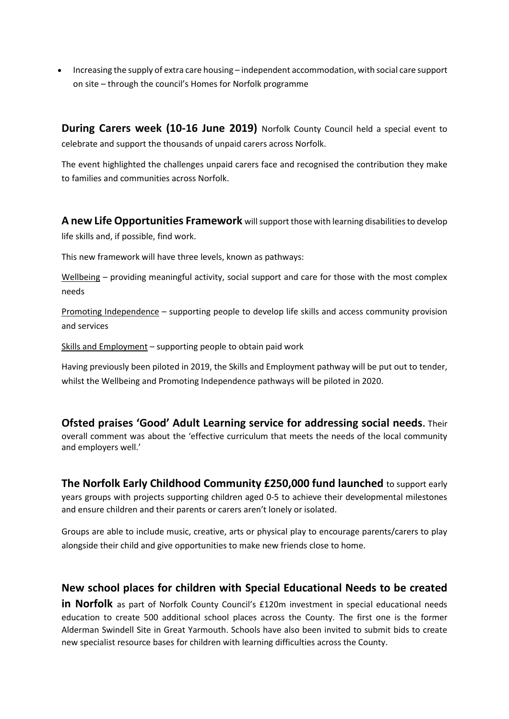• Increasing the supply of extra care housing – independent accommodation, with social care support on site – through the council's Homes for Norfolk programme

**During Carers week (10-16 June 2019)** Norfolk County Council held a special event to celebrate and support the thousands of unpaid carers across Norfolk.

The event highlighted the challenges unpaid carers face and recognised the contribution they make to families and communities across Norfolk.

**A new Life Opportunities Framework** will support those with learning disabilities to develop life skills and, if possible, find work.

This new framework will have three levels, known as pathways:

Wellbeing – providing meaningful activity, social support and care for those with the most complex needs

Promoting Independence – supporting people to develop life skills and access community provision and services

Skills and Employment – supporting people to obtain paid work

Having previously been piloted in 2019, the Skills and Employment pathway will be put out to tender, whilst the Wellbeing and Promoting Independence pathways will be piloted in 2020.

**Ofsted praises 'Good' Adult Learning service for addressing social needs.** Their overall comment was about the 'effective curriculum that meets the needs of the local community and employers well.'

**The Norfolk Early Childhood Community £250,000 fund launched** to support early years groups with projects supporting children aged 0-5 to achieve their developmental milestones and ensure children and their parents or carers aren't lonely or isolated.

Groups are able to include music, creative, arts or physical play to encourage parents/carers to play alongside their child and give opportunities to make new friends close to home.

## **New school places for children with Special Educational Needs to be created**

**in Norfolk** as part of Norfolk County Council's £120m investment in special educational needs education to create 500 additional school places across the County. The first one is the former Alderman Swindell Site in Great Yarmouth. Schools have also been invited to submit bids to create new specialist resource bases for children with learning difficulties across the County.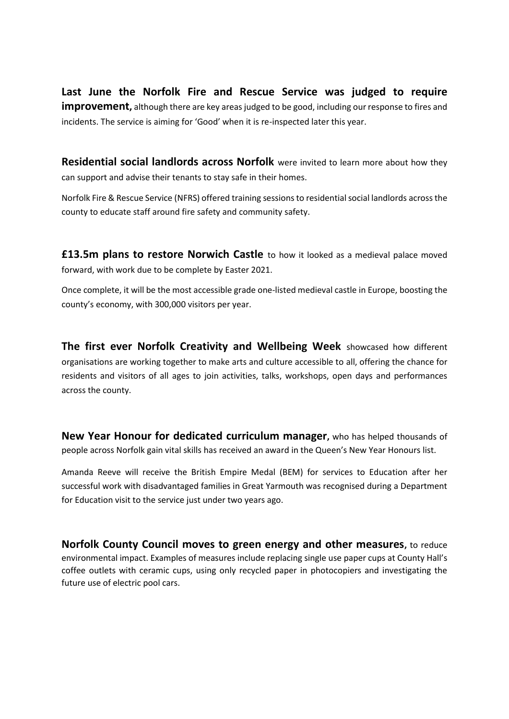**Last June the Norfolk Fire and Rescue Service was judged to require improvement**, although there are key areas judged to be good, including our response to fires and incidents. The service is aiming for 'Good' when it is re-inspected later this year.

**Residential social landlords across Norfolk** were invited to learn more about how they can support and advise their tenants to stay safe in their homes.

Norfolk Fire & Rescue Service (NFRS) offered training sessions to residential social landlords across the county to educate staff around fire safety and community safety.

**£13.5m plans to restore Norwich Castle** to how it looked as a medieval palace moved forward, with work due to be complete by Easter 2021.

Once complete, it will be the most accessible grade one-listed medieval castle in Europe, boosting the county's economy, with 300,000 visitors per year.

**The first ever Norfolk Creativity and Wellbeing Week** showcased how different organisations are working together to make arts and culture accessible to all, offering the chance for residents and visitors of all ages to join activities, talks, workshops, open days and performances across the county.

**New Year Honour for dedicated curriculum manager,** who has helped thousands of people across Norfolk gain vital skills has received an award in the Queen's New Year Honours list.

Amanda Reeve will receive the British Empire Medal (BEM) for services to Education after her successful work with disadvantaged families in Great Yarmouth was recognised during a Department for Education visit to the service just under two years ago.

**Norfolk County Council moves to green energy and other measures,** to reduce environmental impact. Examples of measures include replacing single use paper cups at County Hall's coffee outlets with ceramic cups, using only recycled paper in photocopiers and investigating the future use of electric pool cars.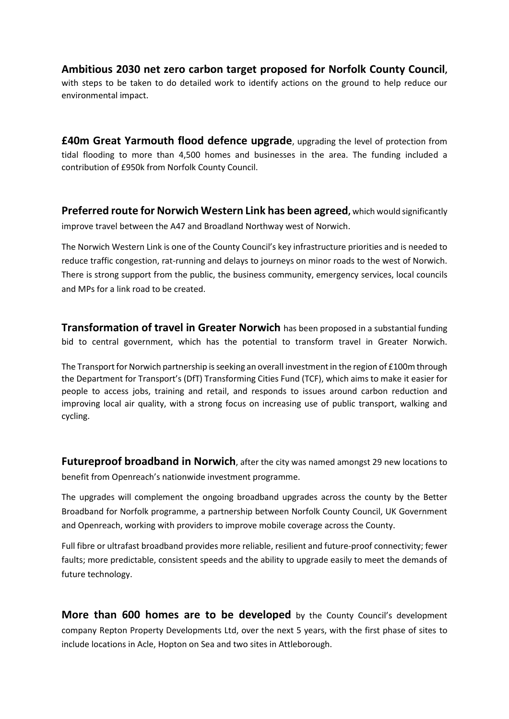**Ambitious 2030 net zero carbon target proposed for Norfolk County Council,**  with steps to be taken to do detailed work to identify actions on the ground to help reduce our environmental impact.

**£40m Great Yarmouth flood defence upgrade**, upgrading the level of protection from tidal flooding to more than 4,500 homes and businesses in the area. The funding included a contribution of £950k from Norfolk County Council.

**Preferred route for Norwich Western Link has been agreed,** which would significantly improve travel between the A47 and Broadland Northway west of Norwich.

The Norwich Western Link is one of the County Council's key infrastructure priorities and is needed to reduce traffic congestion, rat-running and delays to journeys on minor roads to the west of Norwich. There is strong support from the public, the business community, emergency services, local councils and MPs for a link road to be created.

**Transformation of travel in Greater Norwich** has been proposed in a substantial funding bid to central government, which has the potential to transform travel in Greater Norwich.

The Transport for Norwich partnership is seeking an overall investment in the region of £100m through the Department for Transport's (DfT) Transforming Cities Fund (TCF), which aims to make it easier for people to access jobs, training and retail, and responds to issues around carbon reduction and improving local air quality, with a strong focus on increasing use of public transport, walking and cycling.

**Futureproof broadband in Norwich**, after the city was named amongst 29 new locations to benefit from Openreach's nationwide investment programme.

The upgrades will complement the ongoing broadband upgrades across the county by the Better Broadband for Norfolk programme, a partnership between Norfolk County Council, UK Government and Openreach, working with providers to improve mobile coverage across the County.

Full fibre or ultrafast broadband provides more reliable, resilient and future-proof connectivity; fewer faults; more predictable, consistent speeds and the ability to upgrade easily to meet the demands of future technology.

**More than 600 homes are to be developed** by the County Council's development company Repton Property Developments Ltd, over the next 5 years, with the first phase of sites to include locations in Acle, Hopton on Sea and two sites in Attleborough.